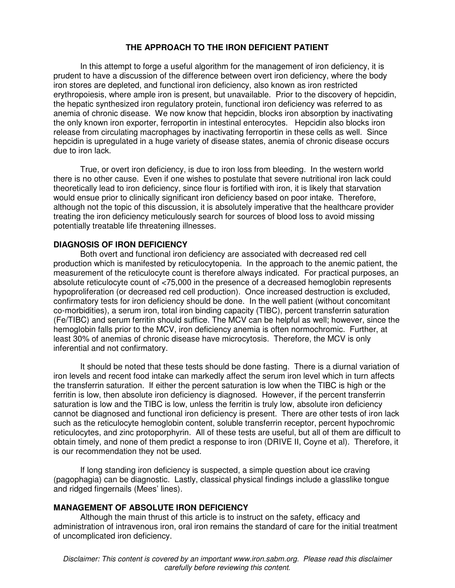In this attempt to forge a useful algorithm for the management of iron deficiency, it is prudent to have a discussion of the difference between overt iron deficiency, where the body iron stores are depleted, and functional iron deficiency, also known as iron restricted erythropoiesis, where ample iron is present, but unavailable. Prior to the discovery of hepcidin, the hepatic synthesized iron regulatory protein, functional iron deficiency was referred to as anemia of chronic disease. We now know that hepcidin, blocks iron absorption by inactivating the only known iron exporter, ferroportin in intestinal enterocytes. Hepcidin also blocks iron release from circulating macrophages by inactivating ferroportin in these cells as well. Since hepcidin is upregulated in a huge variety of disease states, anemia of chronic disease occurs due to iron lack.

 True, or overt iron deficiency, is due to iron loss from bleeding. In the western world there is no other cause. Even if one wishes to postulate that severe nutritional iron lack could theoretically lead to iron deficiency, since flour is fortified with iron, it is likely that starvation would ensue prior to clinically significant iron deficiency based on poor intake. Therefore, although not the topic of this discussion, it is absolutely imperative that the healthcare provider treating the iron deficiency meticulously search for sources of blood loss to avoid missing potentially treatable life threatening illnesses.

#### **DIAGNOSIS OF IRON DEFICIENCY**

 Both overt and functional iron deficiency are associated with decreased red cell production which is manifested by reticulocytopenia. In the approach to the anemic patient, the measurement of the reticulocyte count is therefore always indicated. For practical purposes, an absolute reticulocyte count of <75,000 in the presence of a decreased hemoglobin represents hypoproliferation (or decreased red cell production). Once increased destruction is excluded, confirmatory tests for iron deficiency should be done. In the well patient (without concomitant co-morbidities), a serum iron, total iron binding capacity (TIBC), percent transferrin saturation (Fe/TIBC) and serum ferritin should suffice. The MCV can be helpful as well; however, since the hemoglobin falls prior to the MCV, iron deficiency anemia is often normochromic. Further, at least 30% of anemias of chronic disease have microcytosis. Therefore, the MCV is only inferential and not confirmatory.

It should be noted that these tests should be done fasting. There is a diurnal variation of iron levels and recent food intake can markedly affect the serum iron level which in turn affects the transferrin saturation. If either the percent saturation is low when the TIBC is high or the ferritin is low, then absolute iron deficiency is diagnosed. However, if the percent transferrin saturation is low and the TIBC is low, unless the ferritin is truly low, absolute iron deficiency cannot be diagnosed and functional iron deficiency is present. There are other tests of iron lack such as the reticulocyte hemoglobin content, soluble transferrin receptor, percent hypochromic reticulocytes, and zinc protoporphyrin. All of these tests are useful, but all of them are difficult to obtain timely, and none of them predict a response to iron (DRIVE II, Coyne et al). Therefore, it is our recommendation they not be used.

If long standing iron deficiency is suspected, a simple question about ice craving (pagophagia) can be diagnostic. Lastly, classical physical findings include a glasslike tongue and ridged fingernails (Mees' lines).

## **MANAGEMENT OF ABSOLUTE IRON DEFICIENCY**

 Although the main thrust of this article is to instruct on the safety, efficacy and administration of intravenous iron, oral iron remains the standard of care for the initial treatment of uncomplicated iron deficiency.

Disclaimer: This content is covered by an important www.iron.sabm.org. Please read this disclaimer carefully before reviewing this content.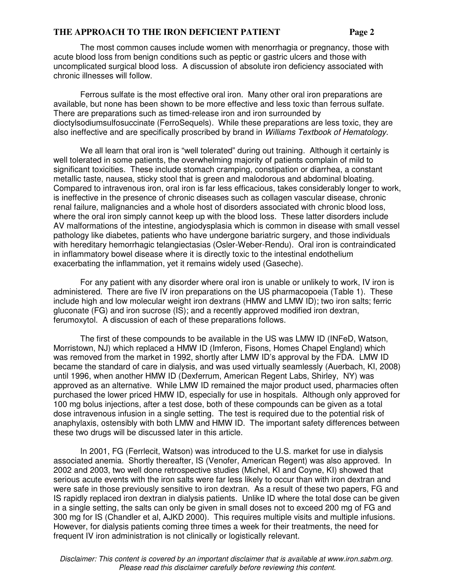The most common causes include women with menorrhagia or pregnancy, those with acute blood loss from benign conditions such as peptic or gastric ulcers and those with uncomplicated surgical blood loss. A discussion of absolute iron deficiency associated with chronic illnesses will follow.

Ferrous sulfate is the most effective oral iron. Many other oral iron preparations are available, but none has been shown to be more effective and less toxic than ferrous sulfate. There are preparations such as timed-release iron and iron surrounded by dioctylsodiumsulfosuccinate (FerroSequels). While these preparations are less toxic, they are also ineffective and are specifically proscribed by brand in Williams Textbook of Hematology.

We all learn that oral iron is "well tolerated" during out training. Although it certainly is well tolerated in some patients, the overwhelming majority of patients complain of mild to significant toxicities. These include stomach cramping, constipation or diarrhea, a constant metallic taste, nausea, sticky stool that is green and malodorous and abdominal bloating. Compared to intravenous iron, oral iron is far less efficacious, takes considerably longer to work, is ineffective in the presence of chronic diseases such as collagen vascular disease, chronic renal failure, malignancies and a whole host of disorders associated with chronic blood loss, where the oral iron simply cannot keep up with the blood loss. These latter disorders include AV malformations of the intestine, angiodysplasia which is common in disease with small vessel pathology like diabetes, patients who have undergone bariatric surgery, and those individuals with hereditary hemorrhagic telangiectasias (Osler-Weber-Rendu). Oral iron is contraindicated in inflammatory bowel disease where it is directly toxic to the intestinal endothelium exacerbating the inflammation, yet it remains widely used (Gaseche).

 For any patient with any disorder where oral iron is unable or unlikely to work, IV iron is administered. There are five IV iron preparations on the US pharmacopoeia (Table 1). These include high and low molecular weight iron dextrans (HMW and LMW ID); two iron salts; ferric gluconate (FG) and iron sucrose (IS); and a recently approved modified iron dextran, ferumoxytol. A discussion of each of these preparations follows.

 The first of these compounds to be available in the US was LMW ID (INFeD, Watson, Morristown, NJ) which replaced a HMW ID (Imferon, Fisons, Homes Chapel England) which was removed from the market in 1992, shortly after LMW ID's approval by the FDA. LMW ID became the standard of care in dialysis, and was used virtually seamlessly (Auerbach, KI, 2008) until 1996, when another HMW ID (Dexferrum, American Regent Labs, Shirley, NY) was approved as an alternative. While LMW ID remained the major product used, pharmacies often purchased the lower priced HMW ID, especially for use in hospitals. Although only approved for 100 mg bolus injections, after a test dose, both of these compounds can be given as a total dose intravenous infusion in a single setting. The test is required due to the potential risk of anaphylaxis, ostensibly with both LMW and HMW ID. The important safety differences between these two drugs will be discussed later in this article.

 In 2001, FG (Ferrlecit, Watson) was introduced to the U.S. market for use in dialysis associated anemia. Shortly thereafter, IS (Venofer, American Regent) was also approved. In 2002 and 2003, two well done retrospective studies (Michel, KI and Coyne, KI) showed that serious acute events with the iron salts were far less likely to occur than with iron dextran and were safe in those previously sensitive to iron dextran. As a result of these two papers, FG and IS rapidly replaced iron dextran in dialysis patients. Unlike ID where the total dose can be given in a single setting, the salts can only be given in small doses not to exceed 200 mg of FG and 300 mg for IS (Chandler et al, AJKD 2000). This requires multiple visits and multiple infusions. However, for dialysis patients coming three times a week for their treatments, the need for frequent IV iron administration is not clinically or logistically relevant.

Disclaimer: This content is covered by an important disclaimer that is available at www.iron.sabm.org. Please read this disclaimer carefully before reviewing this content.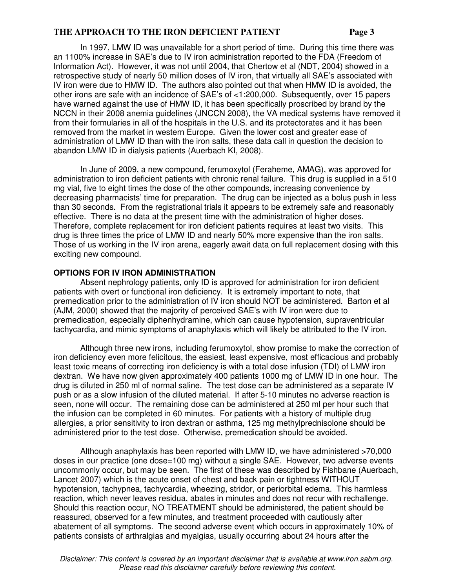In 1997, LMW ID was unavailable for a short period of time. During this time there was an 1100% increase in SAE's due to IV iron administration reported to the FDA (Freedom of Information Act). However, it was not until 2004, that Chertow et al (NDT, 2004) showed in a retrospective study of nearly 50 million doses of IV iron, that virtually all SAE's associated with IV iron were due to HMW ID. The authors also pointed out that when HMW ID is avoided, the other irons are safe with an incidence of SAE's of <1:200,000. Subsequently, over 15 papers have warned against the use of HMW ID, it has been specifically proscribed by brand by the NCCN in their 2008 anemia guidelines (JNCCN 2008), the VA medical systems have removed it from their formularies in all of the hospitals in the U.S. and its protectorates and it has been removed from the market in western Europe. Given the lower cost and greater ease of administration of LMW ID than with the iron salts, these data call in question the decision to abandon LMW ID in dialysis patients (Auerbach KI, 2008).

 In June of 2009, a new compound, ferumoxytol (Feraheme, AMAG), was approved for administration to iron deficient patients with chronic renal failure. This drug is supplied in a 510 mg vial, five to eight times the dose of the other compounds, increasing convenience by decreasing pharmacists' time for preparation. The drug can be injected as a bolus push in less than 30 seconds. From the registrational trials it appears to be extremely safe and reasonably effective. There is no data at the present time with the administration of higher doses. Therefore, complete replacement for iron deficient patients requires at least two visits. This drug is three times the price of LMW ID and nearly 50% more expensive than the iron salts. Those of us working in the IV iron arena, eagerly await data on full replacement dosing with this exciting new compound.

#### **OPTIONS FOR IV IRON ADMINISTRATION**

 Absent nephrology patients, only ID is approved for administration for iron deficient patients with overt or functional iron deficiency. It is extremely important to note, that premedication prior to the administration of IV iron should NOT be administered. Barton et al (AJM, 2000) showed that the majority of perceived SAE's with IV iron were due to premedication, especially diphenhydramine, which can cause hypotension, supraventricular tachycardia, and mimic symptoms of anaphylaxis which will likely be attributed to the IV iron.

Although three new irons, including ferumoxytol, show promise to make the correction of iron deficiency even more felicitous, the easiest, least expensive, most efficacious and probably least toxic means of correcting iron deficiency is with a total dose infusion (TDI) of LMW iron dextran. We have now given approximately 400 patients 1000 mg of LMW ID in one hour. The drug is diluted in 250 ml of normal saline. The test dose can be administered as a separate IV push or as a slow infusion of the diluted material. If after 5-10 minutes no adverse reaction is seen, none will occur. The remaining dose can be administered at 250 ml per hour such that the infusion can be completed in 60 minutes. For patients with a history of multiple drug allergies, a prior sensitivity to iron dextran or asthma, 125 mg methylprednisolone should be administered prior to the test dose. Otherwise, premedication should be avoided.

Although anaphylaxis has been reported with LMW ID, we have administered >70,000 doses in our practice (one dose=100 mg) without a single SAE. However, two adverse events uncommonly occur, but may be seen. The first of these was described by Fishbane (Auerbach, Lancet 2007) which is the acute onset of chest and back pain or tightness WITHOUT hypotension, tachypnea, tachycardia, wheezing, stridor, or periorbital edema. This harmless reaction, which never leaves residua, abates in minutes and does not recur with rechallenge. Should this reaction occur, NO TREATMENT should be administered, the patient should be reassured, observed for a few minutes, and treatment proceeded with cautiously after abatement of all symptoms. The second adverse event which occurs in approximately 10% of patients consists of arthralgias and myalgias, usually occurring about 24 hours after the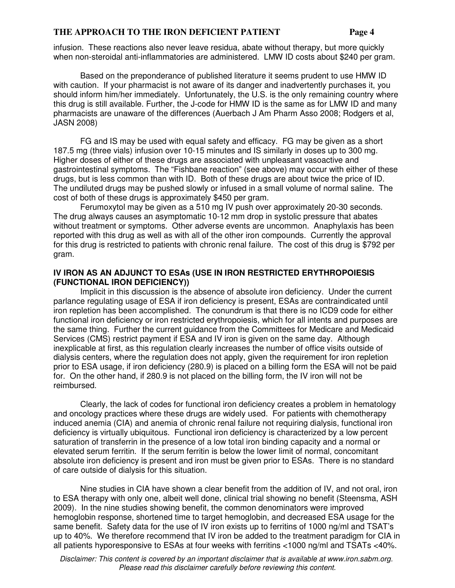infusion. These reactions also never leave residua, abate without therapy, but more quickly when non-steroidal anti-inflammatories are administered. LMW ID costs about \$240 per gram.

Based on the preponderance of published literature it seems prudent to use HMW ID with caution. If your pharmacist is not aware of its danger and inadvertently purchases it, you should inform him/her immediately. Unfortunately, the U.S. is the only remaining country where this drug is still available. Further, the J-code for HMW ID is the same as for LMW ID and many pharmacists are unaware of the differences (Auerbach J Am Pharm Asso 2008; Rodgers et al, JASN 2008)

FG and IS may be used with equal safety and efficacy. FG may be given as a short 187.5 mg (three vials) infusion over 10-15 minutes and IS similarly in doses up to 300 mg. Higher doses of either of these drugs are associated with unpleasant vasoactive and gastrointestinal symptoms. The "Fishbane reaction" (see above) may occur with either of these drugs, but is less common than with ID. Both of these drugs are about twice the price of ID. The undiluted drugs may be pushed slowly or infused in a small volume of normal saline. The cost of both of these drugs is approximately \$450 per gram.

Ferumoxytol may be given as a 510 mg IV push over approximately 20-30 seconds. The drug always causes an asymptomatic 10-12 mm drop in systolic pressure that abates without treatment or symptoms. Other adverse events are uncommon. Anaphylaxis has been reported with this drug as well as with all of the other iron compounds. Currently the approval for this drug is restricted to patients with chronic renal failure. The cost of this drug is \$792 per gram.

#### **IV IRON AS AN ADJUNCT TO ESAs (USE IN IRON RESTRICTED ERYTHROPOIESIS (FUNCTIONAL IRON DEFICIENCY))**

 Implicit in this discussion is the absence of absolute iron deficiency. Under the current parlance regulating usage of ESA if iron deficiency is present, ESAs are contraindicated until iron repletion has been accomplished. The conundrum is that there is no ICD9 code for either functional iron deficiency or iron restricted erythropoiesis, which for all intents and purposes are the same thing. Further the current guidance from the Committees for Medicare and Medicaid Services (CMS) restrict payment if ESA and IV iron is given on the same day. Although inexplicable at first, as this regulation clearly increases the number of office visits outside of dialysis centers, where the regulation does not apply, given the requirement for iron repletion prior to ESA usage, if iron deficiency (280.9) is placed on a billing form the ESA will not be paid for. On the other hand, if 280.9 is not placed on the billing form, the IV iron will not be reimbursed.

 Clearly, the lack of codes for functional iron deficiency creates a problem in hematology and oncology practices where these drugs are widely used. For patients with chemotherapy induced anemia (CIA) and anemia of chronic renal failure not requiring dialysis, functional iron deficiency is virtually ubiquitous. Functional iron deficiency is characterized by a low percent saturation of transferrin in the presence of a low total iron binding capacity and a normal or elevated serum ferritin. If the serum ferritin is below the lower limit of normal, concomitant absolute iron deficiency is present and iron must be given prior to ESAs. There is no standard of care outside of dialysis for this situation.

 Nine studies in CIA have shown a clear benefit from the addition of IV, and not oral, iron to ESA therapy with only one, albeit well done, clinical trial showing no benefit (Steensma, ASH 2009). In the nine studies showing benefit, the common denominators were improved hemoglobin response, shortened time to target hemoglobin, and decreased ESA usage for the same benefit. Safety data for the use of IV iron exists up to ferritins of 1000 ng/ml and TSAT's up to 40%. We therefore recommend that IV iron be added to the treatment paradigm for CIA in all patients hyporesponsive to ESAs at four weeks with ferritins <1000 ng/ml and TSATs <40%.

Disclaimer: This content is covered by an important disclaimer that is available at www.iron.sabm.org. Please read this disclaimer carefully before reviewing this content.